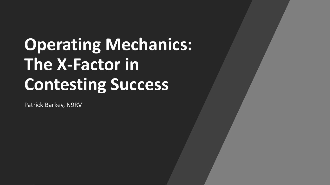# **Operating Mechanics: The X-Factor in Contesting Success**

Patrick Barkey, N9RV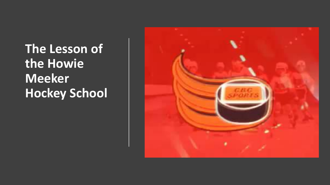**The Lesson of the Howie Meeker Hockey School**

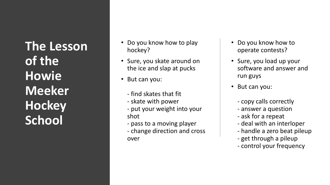**The Lesson of the Howie Meeker Hockey School**

- Do you know how to play hockey?
- Sure, you skate around on the ice and slap at pucks
- But can you:
	- find skates that fit
	- skate with power
	- put your weight into your shot
	- pass to a moving player
	- change direction and cross over
- Do you know how to operate contests?
- Sure, you load up your software and answer and run guys
- But can you:
	- copy calls correctly
	- answer a question
	- ask for a repeat
	- deal with an interloper
	- handle a zero beat pileup
	- get through a pileup
	- control your frequency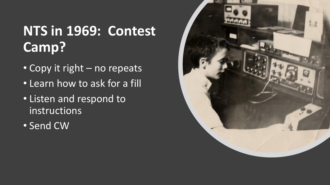#### **NTS in 1969: Contest Camp?**

- Copy it right no repeats
- Learn how to ask for a fill
- Listen and respond to instructions
- Send CW

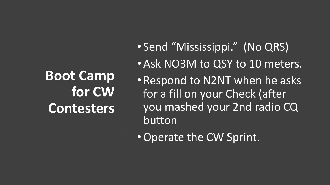## **Boot Camp for CW Contesters**

- Send "Mississippi." (No QRS)
- Ask NO3M to QSY to 10 meters.
- Respond to N2NT when he asks for a fill on your Check (after you mashed your 2nd radio CQ button
- •Operate the CW Sprint.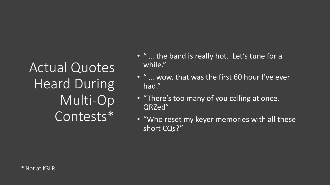Actual Quotes Heard During Multi-Op Contests\*

- " … the band is really hot. Let's tune for a while."
- " … wow, that was the first 60 hour I've ever had."
- "There's too many of you calling at once. QRZed"
- "Who reset my keyer memories with all these short CQs?"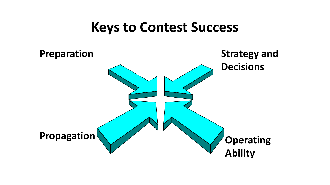#### **Keys to Contest Success**

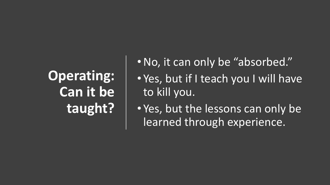## **Operating: Can it be taught?**

- •No, it can only be "absorbed."
- Yes, but if I teach you I will have to kill you.
- Yes, but the lessons can only be learned through experience.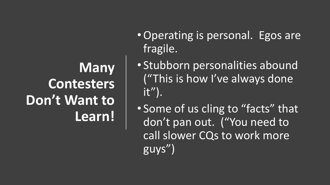## **Many Contesters**  Don't Want to **Learn!**

- •Operating is personal. Egos are fragile.
- Stubborn personalities abound ("This is how I've always done  $it"$ ).
- Some of us cling to "facts" that don't pan out. ("You need to call slower CQs to work more guys")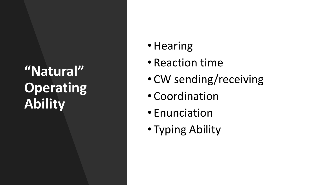## **"Natural" Operating Ability**

- Hearing
- Reaction time
- CW sending/receiving
- Coordination
- Enunciation
- Typing Ability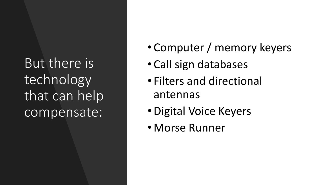But there is technology that can help compensate:

- Computer / memory keyers
- Call sign databases
- Filters and directional antennas
- •Digital Voice Keyers
- Morse Runner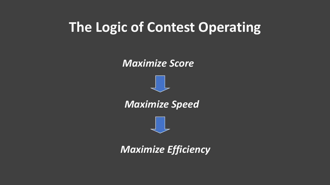#### **The Logic of Contest Operating**



*Maximize Efficiency*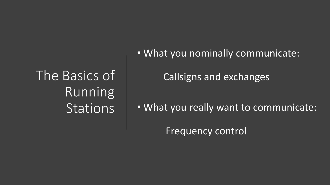The Basics of Running **Stations** 

• What you nominally communicate:

Callsigns and exchanges

• What you really want to communicate:

Frequency control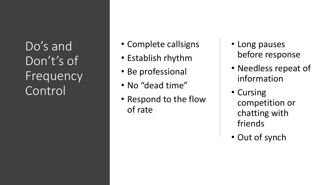Do's and Don't's of **Frequency** Control

- Complete callsigns
- Establish rhythm
- Be professional
- No "dead time"
- Respond to the flow of rate
- Long pauses before response
- Needless repeat of information
- Cursing competition or chatting with friends
- Out of synch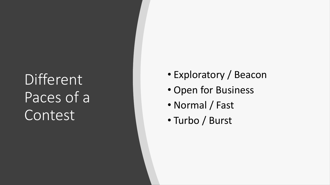# Different Paces of a Contest

- Exploratory / Beacon
- Open for Business
- Normal / Fast
- Turbo / Burst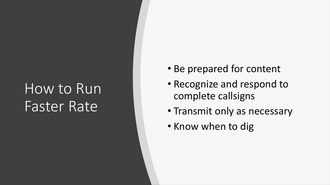## How to Run Faster Rate

- Be prepared for content
- Recognize and respond to complete callsigns
- Transmit only as necessary
- Know when to dig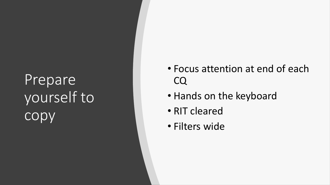# Prepare yourself to copy

- Focus attention at end of each CQ
- Hands on the keyboard
- RIT cleared
- Filters wide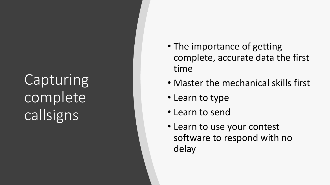**Capturing** complete callsigns

- The importance of getting complete, accurate data the first time
- Master the mechanical skills first
- Learn to type
- Learn to send
- Learn to use your contest software to respond with no delay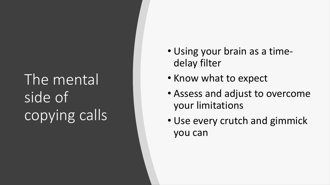# The mental side of copying calls

- Using your brain as a time delay filter
- Know what to expect
- Assess and adjust to overcome your limitations
- Use every crutch and gimmick you can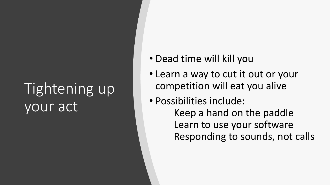## Tightening up your act

- Dead time will kill you
- Learn a way to cut it out or your competition will eat you alive
- Possibilities include: Keep a hand on the paddle Learn to use your software Responding to sounds, not calls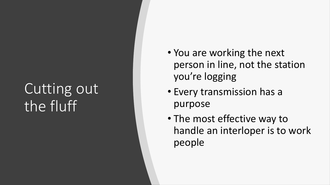## Cutting out the fluff

- You are working the next person in line, not the station you're logging
- Every transmission has a purpose
- The most effective way to handle an interloper is to work people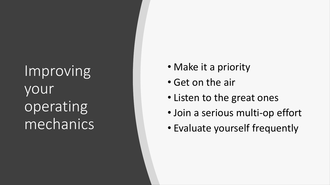Improving your operating mechanics

- Make it a priority
- Get on the air
- Listen to the great ones
- Join a serious multi-op effort
- Evaluate yourself frequently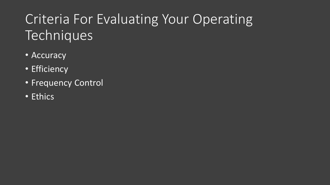### Criteria For Evaluating Your Operating **Techniques**

- Accuracy
- Efficiency
- Frequency Control
- Ethics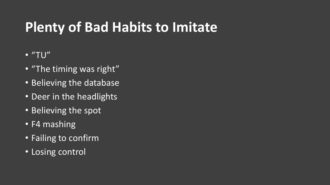- $\bullet$  "TU"
- "The timing was right"
- **Believing the database**
- Deer in the headlights
- Believing the spot
- F4 mashing
- Failing to confirm
- Losing control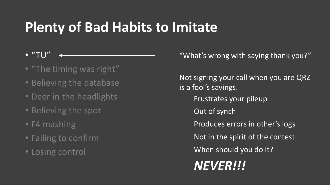- $\bullet$  "TU"
- "The timing was right"
- Believing the database
- Deer in the headlights
- Believing the spot
- F4 mashing
- Failing to confirm
- Losing control

"What's wrong with saying thank you?"

Not signing your call when you are QRZ is a fool's savings. Frustrates your pileup Out of synch Produces errors in other's logs Not in the spirit of the contest When should you do it? *NEVER!!!*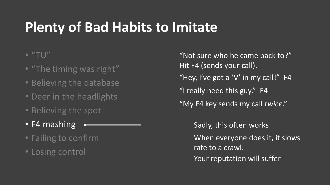#### $\bullet$  "TU"

- "The timing was right"
- Believing the database
- Deer in the headlights
- Believing the spot
- F4 mashing
- Failing to confirm
- Losing control

"Not sure who he came back to?" Hit F4 (sends your call). "Hey, I've got a 'V' in my call!" F4 "I really need this guy." F4 "My F4 key sends my call *twice*."

> Sadly, this often works When everyone does it, it slows rate to a crawl. Your reputation will suffer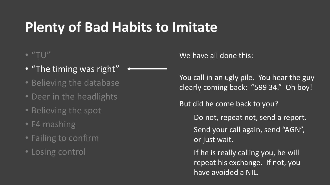#### $\bullet$  "TU"

- "The timing was right"
- Believing the database
- Deer in the headlights
- Believing the spot
- F4 mashing
- Failing to confirm
- Losing control

We have all done this:

You call in an ugly pile. You hear the guy clearly coming back: "599 34." Oh boy!

But did he come back to you?

Do not, repeat not, send a report.

Send your call again, send "AGN", or just wait.

If he is really calling you, he will repeat his exchange. If not, you have avoided a NIL.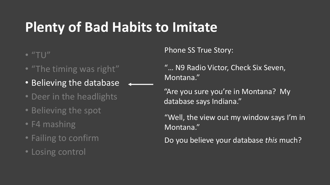$\bullet$  "TU"

- "The timing was right"
- Believing the database
- Deer in the headlights
- Believing the spot
- F4 mashing
- Failing to confirm
- Losing control

Phone SS True Story:

"… N9 Radio Victor, Check Six Seven, Montana."

"Are you sure you're in Montana? My database says Indiana."

"Well, the view out my window says I'm in Montana."

Do you believe your database *this* much?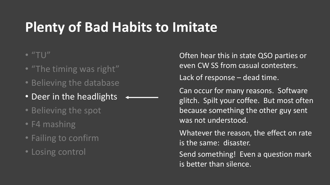#### $\bullet$  "TU"

- "The timing was right"
- Believing the database
- Deer in the headlights
- Believing the spot
- F4 mashing
- Failing to confirm
- Losing control

Often hear this in state QSO parties or even CW SS from casual contesters. Lack of response – dead time.

Can occur for many reasons. Software glitch. Spilt your coffee. But most often because something the other guy sent was not understood.

Whatever the reason, the effect on rate is the same: disaster.

Send something! Even a question mark is better than silence.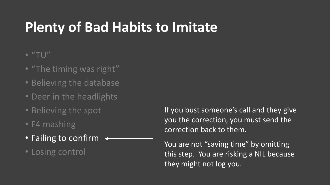#### $\bullet$  "TU"

- "The timing was right"
- Believing the database
- Deer in the headlights
- Believing the spot
- F4 mashing
- Failing to confirm
- Losing control

If you bust someone's call and they give you the correction, you must send the correction back to them.

You are not "saving time" by omitting this step. You are risking a NIL because they might not log you.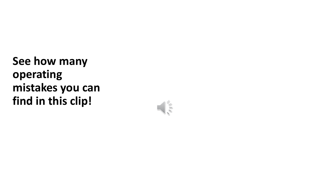**See how many operating mistakes you can find in this clip!**

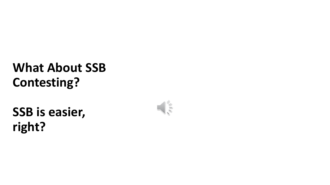#### **What About SSB Contesting?**

**SSB is easier, right?**